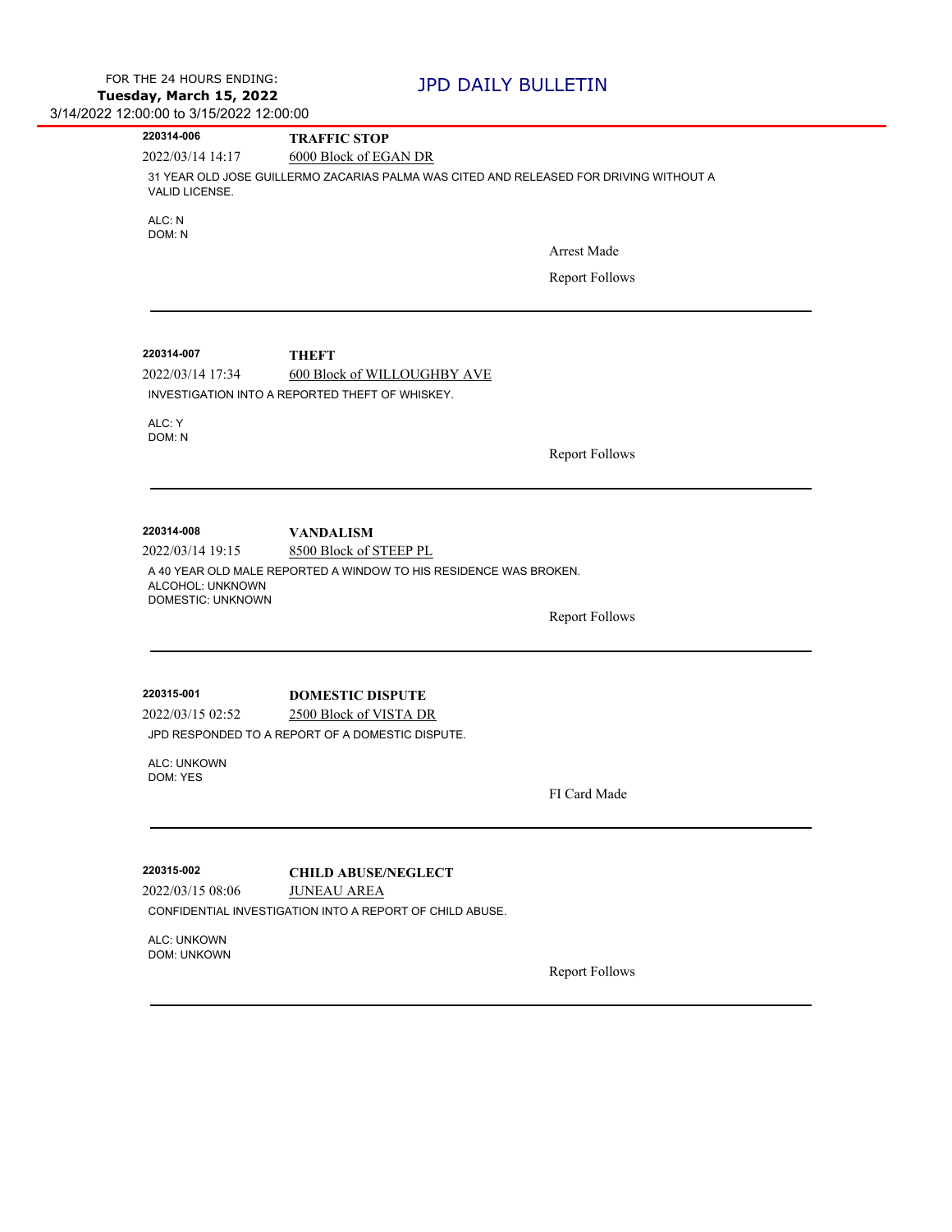| 220314-006                                                              | <b>TRAFFIC STOP</b>                                                                                             |                       |
|-------------------------------------------------------------------------|-----------------------------------------------------------------------------------------------------------------|-----------------------|
| 2022/03/14 14:17                                                        | 6000 Block of EGAN DR                                                                                           |                       |
| VALID LICENSE.                                                          | 31 YEAR OLD JOSE GUILLERMO ZACARIAS PALMA WAS CITED AND RELEASED FOR DRIVING WITHOUT A                          |                       |
| ALC: N<br>DOM: N                                                        |                                                                                                                 |                       |
|                                                                         |                                                                                                                 | Arrest Made           |
|                                                                         |                                                                                                                 | <b>Report Follows</b> |
|                                                                         |                                                                                                                 |                       |
| 220314-007                                                              | <b>THEFT</b>                                                                                                    |                       |
| 2022/03/14 17:34                                                        | 600 Block of WILLOUGHBY AVE                                                                                     |                       |
|                                                                         | INVESTIGATION INTO A REPORTED THEFT OF WHISKEY.                                                                 |                       |
| ALC: Y<br>DOM: N                                                        |                                                                                                                 |                       |
|                                                                         |                                                                                                                 | <b>Report Follows</b> |
|                                                                         |                                                                                                                 |                       |
| 220314-008<br>2022/03/14 19:15<br>ALCOHOL: UNKNOWN<br>DOMESTIC: UNKNOWN | <b>VANDALISM</b><br>8500 Block of STEEP PL<br>A 40 YEAR OLD MALE REPORTED A WINDOW TO HIS RESIDENCE WAS BROKEN. | <b>Report Follows</b> |
| 220315-001                                                              | <b>DOMESTIC DISPUTE</b>                                                                                         |                       |
| 2022/03/15 02:52                                                        | 2500 Block of VISTA DR                                                                                          |                       |
|                                                                         | JPD RESPONDED TO A REPORT OF A DOMESTIC DISPUTE.                                                                |                       |
| ALC: UNKOWN<br>DOM: YES                                                 |                                                                                                                 |                       |
|                                                                         |                                                                                                                 | FI Card Made          |
|                                                                         |                                                                                                                 |                       |
| 220315-002                                                              | <b>CHILD ABUSE/NEGLECT</b>                                                                                      |                       |
| 2022/03/15 08:06                                                        | <b>JUNEAU AREA</b>                                                                                              |                       |
|                                                                         | CONFIDENTIAL INVESTIGATION INTO A REPORT OF CHILD ABUSE.                                                        |                       |
| ALC: UNKOWN<br><b>DOM: UNKOWN</b>                                       |                                                                                                                 |                       |